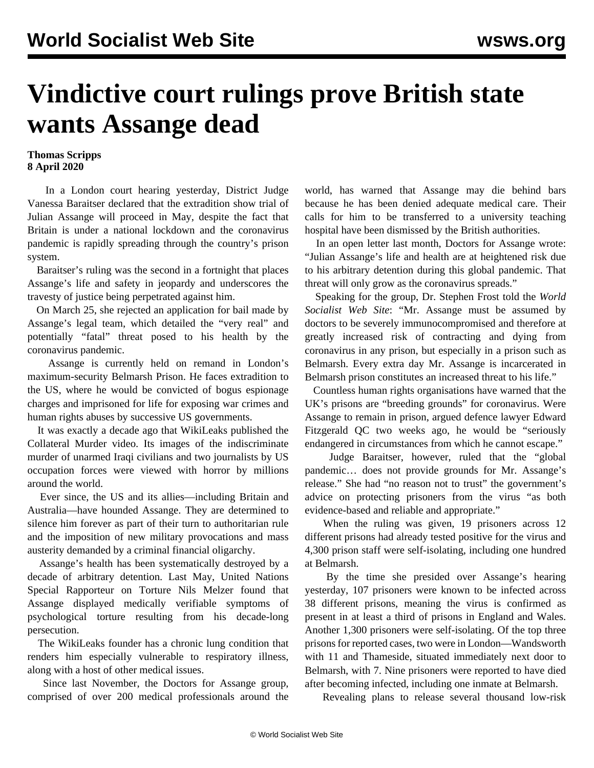## **Vindictive court rulings prove British state wants Assange dead**

## **Thomas Scripps 8 April 2020**

 In a London court hearing yesterday, District Judge Vanessa Baraitser declared that the extradition show trial of Julian Assange will proceed in May, despite the fact that Britain is under a national lockdown and the coronavirus pandemic is rapidly spreading through the country's prison system.

 Baraitser's ruling was the second in a fortnight that places Assange's life and safety in jeopardy and underscores the travesty of justice being perpetrated against him.

 On March 25, she rejected an application for bail made by Assange's legal team, which detailed the "very real" and potentially "fatal" threat posed to his health by the coronavirus pandemic.

 Assange is currently held on remand in London's maximum-security Belmarsh Prison. He faces extradition to the US, where he would be convicted of bogus espionage charges and imprisoned for life for exposing war crimes and human rights abuses by successive US governments.

 It was exactly a decade ago that WikiLeaks published the Collateral Murder video. Its images of the indiscriminate murder of unarmed Iraqi civilians and two journalists by US occupation forces were viewed with horror by millions around the world.

 Ever since, the US and its allies—including Britain and Australia—have hounded Assange. They are determined to silence him forever as part of their turn to authoritarian rule and the imposition of new military provocations and mass austerity demanded by a criminal financial oligarchy.

 Assange's health has been systematically destroyed by a decade of arbitrary detention. Last May, United Nations Special Rapporteur on Torture Nils Melzer found that Assange displayed medically verifiable symptoms of psychological torture resulting from his decade-long persecution.

 The WikiLeaks founder has a chronic lung condition that renders him especially vulnerable to respiratory illness, along with a host of other medical issues.

 Since last November, the Doctors for Assange group, comprised of over 200 medical professionals around the world, has warned that Assange may die behind bars because he has been denied adequate medical care. Their calls for him to be transferred to a university teaching hospital have been dismissed by the British authorities.

 In an open letter last month, Doctors for Assange wrote: "Julian Assange's life and health are at heightened risk due to his arbitrary detention during this global pandemic. That threat will only grow as the coronavirus spreads."

 Speaking for the group, Dr. Stephen Frost told the *World Socialist Web Site*: "Mr. Assange must be assumed by doctors to be severely immunocompromised and therefore at greatly increased risk of contracting and dying from coronavirus in any prison, but especially in a prison such as Belmarsh. Every extra day Mr. Assange is incarcerated in Belmarsh prison constitutes an increased threat to his life."

 Countless human rights organisations have warned that the UK's prisons are "breeding grounds" for coronavirus. Were Assange to remain in prison, argued defence lawyer Edward Fitzgerald QC two weeks ago, he would be "seriously endangered in circumstances from which he cannot escape."

 Judge Baraitser, however, ruled that the "global pandemic… does not provide grounds for Mr. Assange's release." She had "no reason not to trust" the government's advice on protecting prisoners from the virus "as both evidence-based and reliable and appropriate."

When the ruling was given, 19 prisoners across 12 different prisons had already tested positive for the virus and 4,300 prison staff were self-isolating, including one hundred at Belmarsh.

 By the time she presided over Assange's hearing yesterday, 107 prisoners were known to be infected across 38 different prisons, meaning the virus is confirmed as present in at least a third of prisons in England and Wales. Another 1,300 prisoners were self-isolating. Of the top three prisons for reported cases, two were in London—Wandsworth with 11 and Thameside, situated immediately next door to Belmarsh, with 7. Nine prisoners were reported to have died after becoming infected, including one inmate at Belmarsh.

Revealing plans to release several thousand low-risk